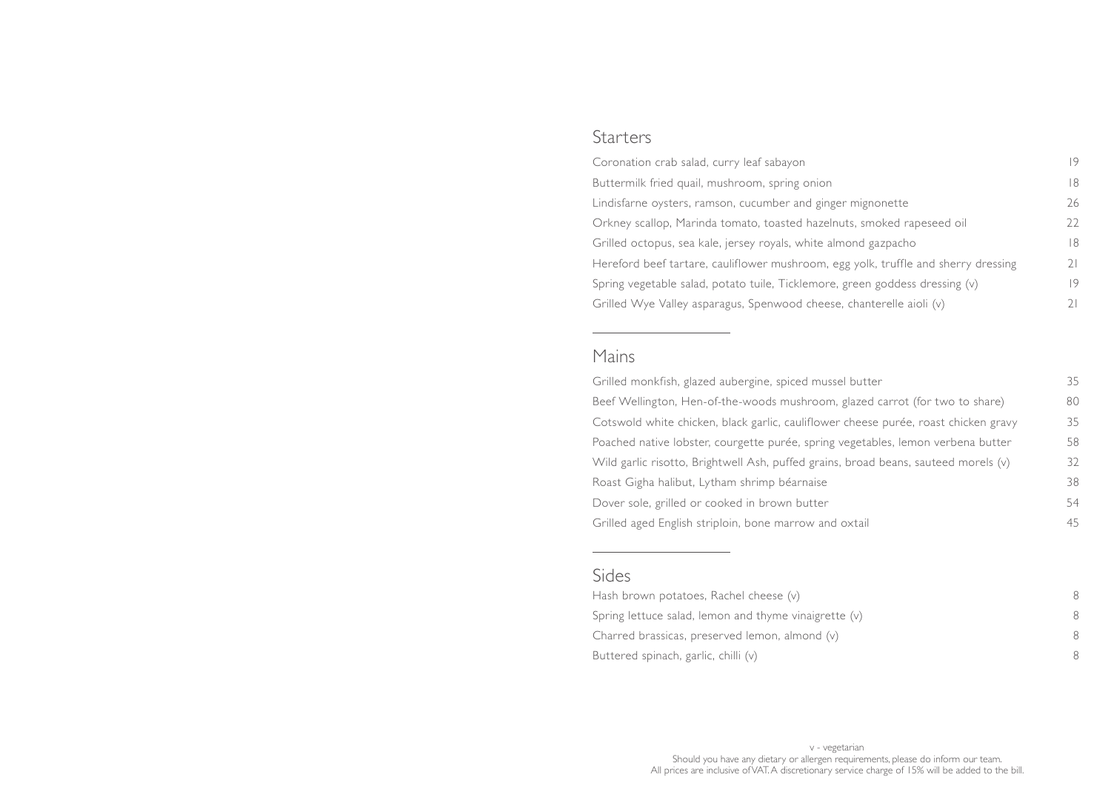## Starters

Coronation crab salad, curry leaf sabayon 19 Buttermilk fried quail, mushroom, spring onion Lindisfarne oysters, ramson, cucumber and ginge Orkney scallop, Marinda tomato, toasted hazelnu Grilled octopus, sea kale, jersey royals, white alm Hereford beef tartare, cauliflower mushroom, eg Spring vegetable salad, potato tuile, Ticklemore, Grilled Wye Valley asparagus, Spenwood cheese,

## Mains

Grilled monkfish, glazed aubergine, spiced musse Beef Wellington, Hen-of-the-woods mushroom, Cotswold white chicken, black garlic, cauliflower Poached native lobster, courgette purée, spring v Wild garlic risotto, Brightwell Ash, puffed grains, Roast Gigha halibut, Lytham shrimp béarnaise Dover sole, grilled or cooked in brown butter Grilled aged English striploin, bone marrow and

## Sides

Hash brown potatoes, Rachel cheese (v) 8 Spring lettuce salad, lemon and thyme vinaigrette Charred brassicas, preserved lemon, almond (v) Buttered spinach, garlic, chilli (v) 8

|                                      | 18             |
|--------------------------------------|----------------|
| er mignonette                        | 26             |
| uts, smoked rapeseed oil             | 22             |
| nond gazpacho                        | 18             |
| gg yolk, truffle and sherry dressing | 2 <sup>1</sup> |
| green goddess dressing $(v)$         | 9              |
| , chanterelle aioli (v)              | 21             |

| el butter                           | 35 |
|-------------------------------------|----|
| glazed carrot (for two to share)    | 80 |
| cheese purée, roast chicken gravy   | 35 |
| vegetables, lemon verbena butter    | 58 |
| , broad beans, sauteed morels $(v)$ | 32 |
|                                     | 38 |
|                                     | 54 |
| oxtail                              | 45 |

|                            | ୪ |
|----------------------------|---|
| $e \,$ $\left(\vee\right)$ | 8 |
|                            | 8 |
|                            | 8 |